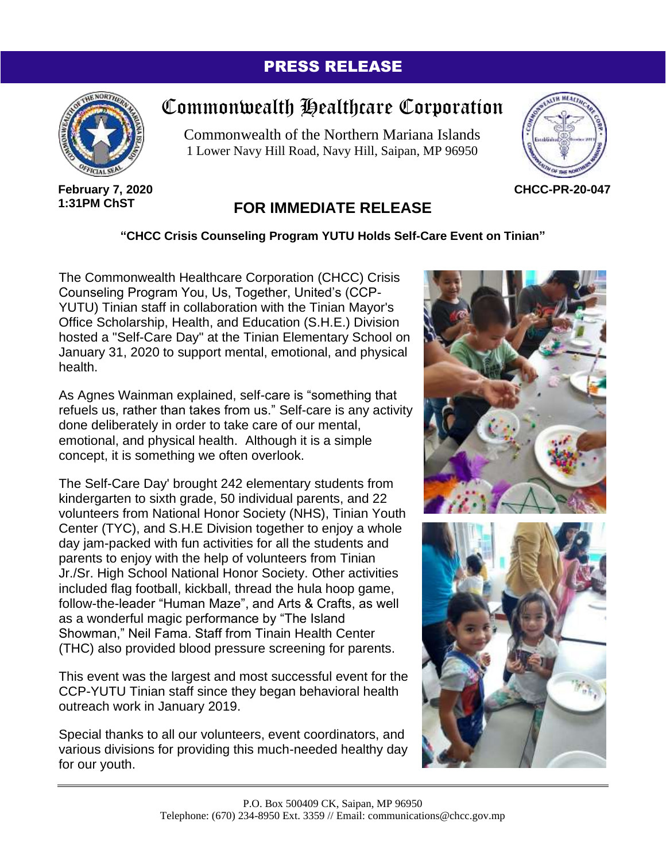## PRESS RELEASE



## Commonwealth Healthcare Corporation

Commonwealth of the Northern Mariana Islands 1 Lower Navy Hill Road, Navy Hill, Saipan, MP 96950



**February 7, 2020 1:31PM ChST**

## **FOR IMMEDIATE RELEASE**

## **"CHCC Crisis Counseling Program YUTU Holds Self-Care Event on Tinian"**

The Commonwealth Healthcare Corporation (CHCC) Crisis Counseling Program You, Us, Together, United's (CCP-YUTU) Tinian staff in collaboration with the Tinian Mayor's Office Scholarship, Health, and Education (S.H.E.) Division hosted a "Self-Care Day" at the Tinian Elementary School on January 31, 2020 to support mental, emotional, and physical health.

As Agnes Wainman explained, self-care is "something that refuels us, rather than takes from us." Self-care is any activity done deliberately in order to take care of our mental, emotional, and physical health. Although it is a simple concept, it is something we often overlook.

The Self-Care Day' brought 242 elementary students from kindergarten to sixth grade, 50 individual parents, and 22 volunteers from National Honor Society (NHS), Tinian Youth Center (TYC), and S.H.E Division together to enjoy a whole day jam-packed with fun activities for all the students and parents to enjoy with the help of volunteers from Tinian Jr./Sr. High School National Honor Society. Other activities included flag football, kickball, thread the hula hoop game, follow-the-leader "Human Maze", and Arts & Crafts, as well as a wonderful magic performance by "The Island Showman," Neil Fama. Staff from Tinain Health Center (THC) also provided blood pressure screening for parents.

This event was the largest and most successful event for the CCP-YUTU Tinian staff since they began behavioral health outreach work in January 2019.

Special thanks to all our volunteers, event coordinators, and various divisions for providing this much-needed healthy day for our youth.